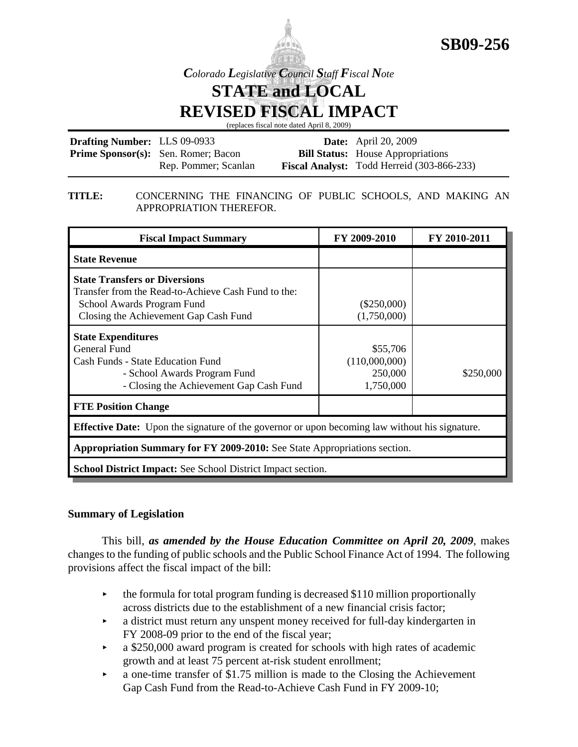

*Colorado Legislative Council Staff Fiscal Note*

**STATE and LOCAL REVISED FISCAL IMPACT**

(replaces fiscal note dated April 8, 2009)

| <b>Drafting Number: LLS 09-0933</b> |                                            | <b>Date:</b> April 20, 2009                       |  |
|-------------------------------------|--------------------------------------------|---------------------------------------------------|--|
|                                     | <b>Prime Sponsor(s):</b> Sen. Romer; Bacon | <b>Bill Status:</b> House Appropriations          |  |
|                                     | Rep. Pommer; Scanlan                       | <b>Fiscal Analyst:</b> Todd Herreid (303-866-233) |  |

### **TITLE:** CONCERNING THE FINANCING OF PUBLIC SCHOOLS, AND MAKING AN APPROPRIATION THEREFOR.

| <b>Fiscal Impact Summary</b>                                                                                                                                            | FY 2009-2010                                      | FY 2010-2011 |  |  |  |  |
|-------------------------------------------------------------------------------------------------------------------------------------------------------------------------|---------------------------------------------------|--------------|--|--|--|--|
| <b>State Revenue</b>                                                                                                                                                    |                                                   |              |  |  |  |  |
| <b>State Transfers or Diversions</b><br>Transfer from the Read-to-Achieve Cash Fund to the:<br>School Awards Program Fund<br>Closing the Achievement Gap Cash Fund      | $(\$250,000)$<br>(1,750,000)                      |              |  |  |  |  |
| <b>State Expenditures</b><br><b>General Fund</b><br><b>Cash Funds - State Education Fund</b><br>- School Awards Program Fund<br>- Closing the Achievement Gap Cash Fund | \$55,706<br>(110,000,000)<br>250,000<br>1,750,000 | \$250,000    |  |  |  |  |
| <b>FTE Position Change</b>                                                                                                                                              |                                                   |              |  |  |  |  |
| <b>Effective Date:</b> Upon the signature of the governor or upon becoming law without his signature.                                                                   |                                                   |              |  |  |  |  |
| Appropriation Summary for FY 2009-2010: See State Appropriations section.                                                                                               |                                                   |              |  |  |  |  |
| <b>School District Impact:</b> See School District Impact section.                                                                                                      |                                                   |              |  |  |  |  |

# **Summary of Legislation**

This bill, *as amended by the House Education Committee on April 20, 2009*, makes changes to the funding of public schools and the Public School Finance Act of 1994. The following provisions affect the fiscal impact of the bill:

- $\rightarrow$  the formula for total program funding is decreased \$110 million proportionally across districts due to the establishment of a new financial crisis factor;
- a district must return any unspent money received for full-day kindergarten in FY 2008-09 prior to the end of the fiscal year;
- $\blacktriangleright$  a \$250,000 award program is created for schools with high rates of academic growth and at least 75 percent at-risk student enrollment;
- $\triangleright$  a one-time transfer of \$1.75 million is made to the Closing the Achievement Gap Cash Fund from the Read-to-Achieve Cash Fund in FY 2009-10;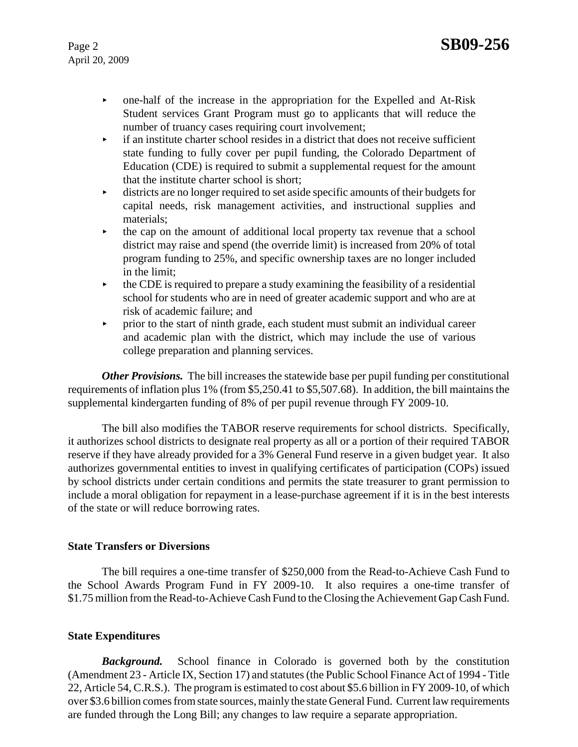- one-half of the increase in the appropriation for the Expelled and At-Risk Student services Grant Program must go to applicants that will reduce the number of truancy cases requiring court involvement;
- $\rightarrow$  if an institute charter school resides in a district that does not receive sufficient state funding to fully cover per pupil funding, the Colorado Department of Education (CDE) is required to submit a supplemental request for the amount that the institute charter school is short;
- $\blacktriangleright$  districts are no longer required to set aside specific amounts of their budgets for capital needs, risk management activities, and instructional supplies and materials;
- $\rightarrow$  the cap on the amount of additional local property tax revenue that a school district may raise and spend (the override limit) is increased from 20% of total program funding to 25%, and specific ownership taxes are no longer included in the limit;
- $\rightarrow$  the CDE is required to prepare a study examining the feasibility of a residential school for students who are in need of greater academic support and who are at risk of academic failure; and
- $\rightarrow$  prior to the start of ninth grade, each student must submit an individual career and academic plan with the district, which may include the use of various college preparation and planning services.

*Other Provisions.* The bill increases the statewide base per pupil funding per constitutional requirements of inflation plus 1% (from \$5,250.41 to \$5,507.68). In addition, the bill maintains the supplemental kindergarten funding of 8% of per pupil revenue through FY 2009-10.

The bill also modifies the TABOR reserve requirements for school districts. Specifically, it authorizes school districts to designate real property as all or a portion of their required TABOR reserve if they have already provided for a 3% General Fund reserve in a given budget year. It also authorizes governmental entities to invest in qualifying certificates of participation (COPs) issued by school districts under certain conditions and permits the state treasurer to grant permission to include a moral obligation for repayment in a lease-purchase agreement if it is in the best interests of the state or will reduce borrowing rates.

## **State Transfers or Diversions**

The bill requires a one-time transfer of \$250,000 from the Read-to-Achieve Cash Fund to the School Awards Program Fund in FY 2009-10. It also requires a one-time transfer of \$1.75 million from the Read-to-Achieve Cash Fund to the Closing the Achievement Gap Cash Fund.

## **State Expenditures**

*Background.* School finance in Colorado is governed both by the constitution (Amendment 23 - Article IX, Section 17) and statutes (the Public School Finance Act of 1994 - Title 22, Article 54, C.R.S.). The program is estimated to cost about \$5.6 billion in FY 2009-10, of which over \$3.6 billion comes from state sources, mainly the state General Fund. Current law requirements are funded through the Long Bill; any changes to law require a separate appropriation.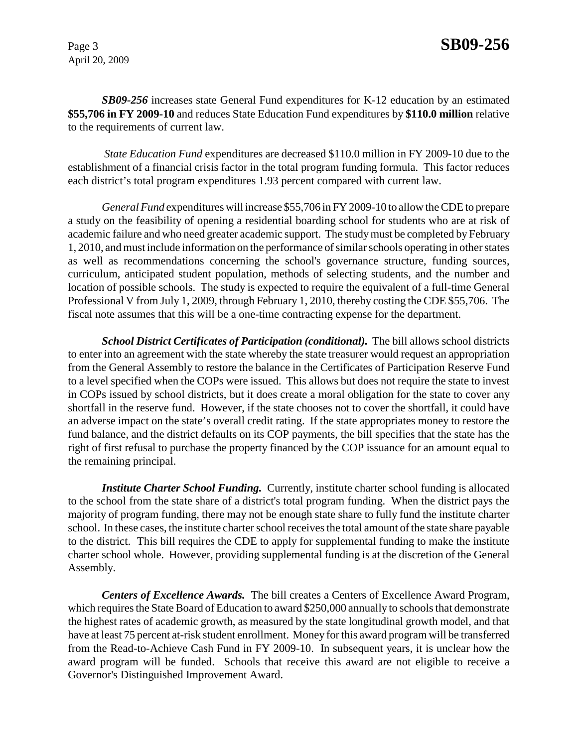*SB09-256* increases state General Fund expenditures for K-12 education by an estimated **\$55,706 in FY 2009-10** and reduces State Education Fund expenditures by **\$110.0 million** relative to the requirements of current law.

*State Education Fund* expenditures are decreased \$110.0 million in FY 2009-10 due to the establishment of a financial crisis factor in the total program funding formula. This factor reduces each district's total program expenditures 1.93 percent compared with current law.

*General Fund* expenditures will increase \$55,706 in FY 2009-10 to allow the CDE to prepare a study on the feasibility of opening a residential boarding school for students who are at risk of academic failure and who need greater academic support. The study must be completed by February 1, 2010, and must include information on the performance of similar schools operating in other states as well as recommendations concerning the school's governance structure, funding sources, curriculum, anticipated student population, methods of selecting students, and the number and location of possible schools. The study is expected to require the equivalent of a full-time General Professional V from July 1, 2009, through February 1, 2010, thereby costing the CDE \$55,706. The fiscal note assumes that this will be a one-time contracting expense for the department.

*School District Certificates of Participation (conditional).* The bill allows school districts to enter into an agreement with the state whereby the state treasurer would request an appropriation from the General Assembly to restore the balance in the Certificates of Participation Reserve Fund to a level specified when the COPs were issued. This allows but does not require the state to invest in COPs issued by school districts, but it does create a moral obligation for the state to cover any shortfall in the reserve fund. However, if the state chooses not to cover the shortfall, it could have an adverse impact on the state's overall credit rating. If the state appropriates money to restore the fund balance, and the district defaults on its COP payments, the bill specifies that the state has the right of first refusal to purchase the property financed by the COP issuance for an amount equal to the remaining principal.

*Institute Charter School Funding.* Currently, institute charter school funding is allocated to the school from the state share of a district's total program funding. When the district pays the majority of program funding, there may not be enough state share to fully fund the institute charter school. In these cases, the institute charter school receives the total amount of the state share payable to the district. This bill requires the CDE to apply for supplemental funding to make the institute charter school whole. However, providing supplemental funding is at the discretion of the General Assembly.

*Centers of Excellence Awards.* The bill creates a Centers of Excellence Award Program, which requires the State Board of Education to award \$250,000 annually to schools that demonstrate the highest rates of academic growth, as measured by the state longitudinal growth model, and that have at least 75 percent at-risk student enrollment. Money for this award program will be transferred from the Read-to-Achieve Cash Fund in FY 2009-10. In subsequent years, it is unclear how the award program will be funded. Schools that receive this award are not eligible to receive a Governor's Distinguished Improvement Award.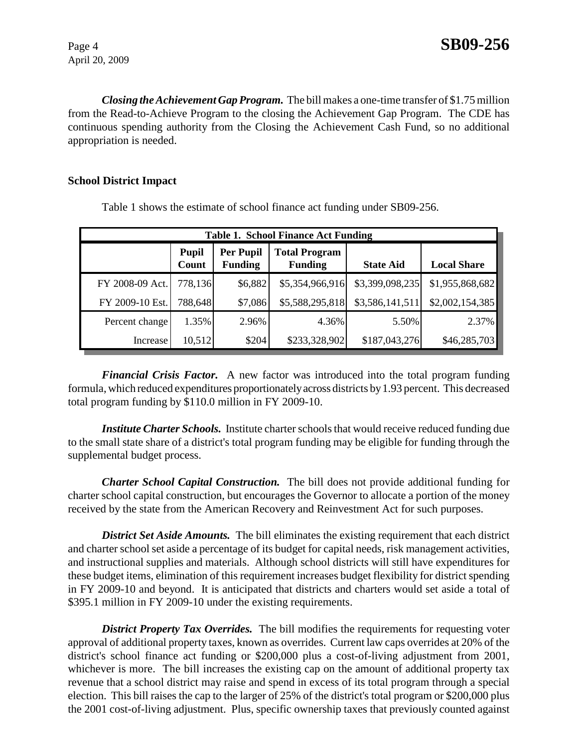*Closing the Achievement Gap Program.* The bill makes a one-time transfer of \$1.75 million from the Read-to-Achieve Program to the closing the Achievement Gap Program. The CDE has continuous spending authority from the Closing the Achievement Cash Fund, so no additional appropriation is needed.

### **School District Impact**

| <b>Table 1. School Finance Act Funding</b> |                       |                                    |                                        |                  |                    |  |  |  |
|--------------------------------------------|-----------------------|------------------------------------|----------------------------------------|------------------|--------------------|--|--|--|
|                                            | <b>Pupil</b><br>Count | <b>Per Pupil</b><br><b>Funding</b> | <b>Total Program</b><br><b>Funding</b> | <b>State Aid</b> | <b>Local Share</b> |  |  |  |
| FY 2008-09 Act.                            | 778,136               | \$6,882                            | \$5,354,966,916                        | \$3,399,098,235  | \$1,955,868,682    |  |  |  |
| FY 2009-10 Est.                            | 788,648               | \$7,086                            | \$5,588,295,818                        | \$3,586,141,511  | \$2,002,154,385    |  |  |  |
| Percent change                             | 1.35%                 | 2.96%                              | 4.36%                                  | 5.50%            | 2.37%              |  |  |  |
| Increase                                   | 10,512                | \$204                              | \$233,328,902                          | \$187,043,276    | \$46,285,703       |  |  |  |

Table 1 shows the estimate of school finance act funding under SB09-256.

*Financial Crisis Factor.* A new factor was introduced into the total program funding formula, which reduced expenditures proportionately across districts by 1.93 percent. This decreased total program funding by \$110.0 million in FY 2009-10.

*Institute Charter Schools.* Institute charter schools that would receive reduced funding due to the small state share of a district's total program funding may be eligible for funding through the supplemental budget process.

*Charter School Capital Construction.* The bill does not provide additional funding for charter school capital construction, but encourages the Governor to allocate a portion of the money received by the state from the American Recovery and Reinvestment Act for such purposes.

**District Set Aside Amounts.** The bill eliminates the existing requirement that each district and charter school set aside a percentage of its budget for capital needs, risk management activities, and instructional supplies and materials. Although school districts will still have expenditures for these budget items, elimination of this requirement increases budget flexibility for district spending in FY 2009-10 and beyond. It is anticipated that districts and charters would set aside a total of \$395.1 million in FY 2009-10 under the existing requirements.

**District Property Tax Overrides.** The bill modifies the requirements for requesting voter approval of additional property taxes, known as overrides. Current law caps overrides at 20% of the district's school finance act funding or \$200,000 plus a cost-of-living adjustment from 2001, whichever is more. The bill increases the existing cap on the amount of additional property tax revenue that a school district may raise and spend in excess of its total program through a special election. This bill raises the cap to the larger of 25% of the district's total program or \$200,000 plus the 2001 cost-of-living adjustment. Plus, specific ownership taxes that previously counted against